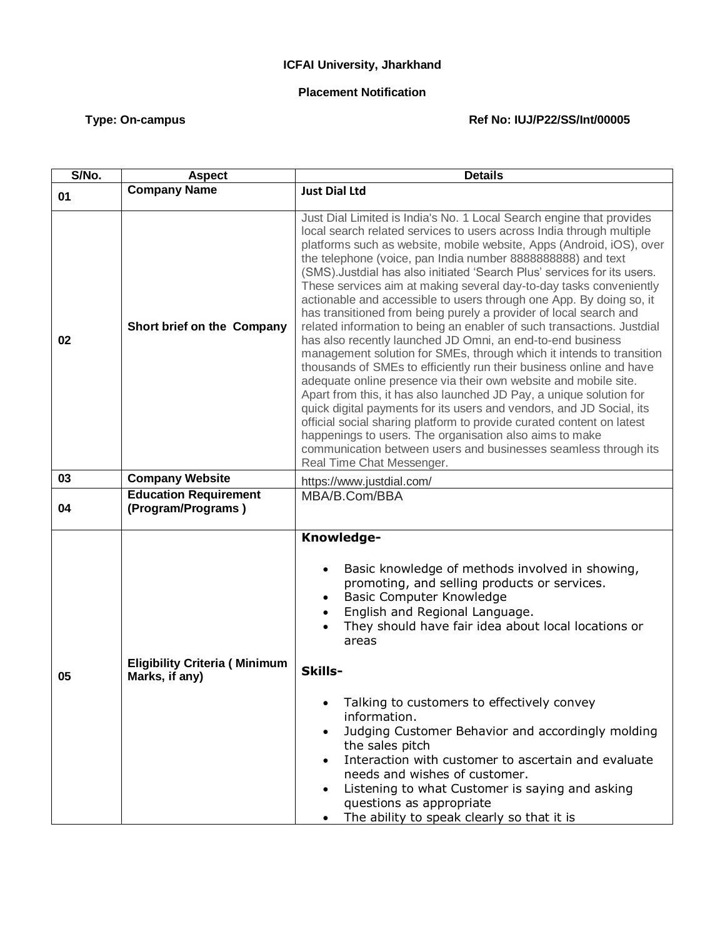## **ICFAI University, Jharkhand**

## **Placement Notification**

## Type: On-campus **Type: On-campus** Ref No: IUJ/P22/SS/Int/00005

| S/No. | <b>Aspect</b>                                          | <b>Details</b>                                                                                                                                                                                                                                                                                                                                                                                                                                                                                                                                                                                                                                                                                                                                                                                                                                                                                                                                                                                                                                                                                                                                                                                                                                                                                                                 |
|-------|--------------------------------------------------------|--------------------------------------------------------------------------------------------------------------------------------------------------------------------------------------------------------------------------------------------------------------------------------------------------------------------------------------------------------------------------------------------------------------------------------------------------------------------------------------------------------------------------------------------------------------------------------------------------------------------------------------------------------------------------------------------------------------------------------------------------------------------------------------------------------------------------------------------------------------------------------------------------------------------------------------------------------------------------------------------------------------------------------------------------------------------------------------------------------------------------------------------------------------------------------------------------------------------------------------------------------------------------------------------------------------------------------|
| 01    | <b>Company Name</b>                                    | <b>Just Dial Ltd</b>                                                                                                                                                                                                                                                                                                                                                                                                                                                                                                                                                                                                                                                                                                                                                                                                                                                                                                                                                                                                                                                                                                                                                                                                                                                                                                           |
| 02    | Short brief on the Company                             | Just Dial Limited is India's No. 1 Local Search engine that provides<br>local search related services to users across India through multiple<br>platforms such as website, mobile website, Apps (Android, iOS), over<br>the telephone (voice, pan India number 8888888888) and text<br>(SMS). Justdial has also initiated 'Search Plus' services for its users.<br>These services aim at making several day-to-day tasks conveniently<br>actionable and accessible to users through one App. By doing so, it<br>has transitioned from being purely a provider of local search and<br>related information to being an enabler of such transactions. Justdial<br>has also recently launched JD Omni, an end-to-end business<br>management solution for SMEs, through which it intends to transition<br>thousands of SMEs to efficiently run their business online and have<br>adequate online presence via their own website and mobile site.<br>Apart from this, it has also launched JD Pay, a unique solution for<br>quick digital payments for its users and vendors, and JD Social, its<br>official social sharing platform to provide curated content on latest<br>happenings to users. The organisation also aims to make<br>communication between users and businesses seamless through its<br>Real Time Chat Messenger. |
| 03    | <b>Company Website</b>                                 | https://www.justdial.com/                                                                                                                                                                                                                                                                                                                                                                                                                                                                                                                                                                                                                                                                                                                                                                                                                                                                                                                                                                                                                                                                                                                                                                                                                                                                                                      |
| 04    | <b>Education Requirement</b><br>(Program/Programs)     | MBA/B.Com/BBA                                                                                                                                                                                                                                                                                                                                                                                                                                                                                                                                                                                                                                                                                                                                                                                                                                                                                                                                                                                                                                                                                                                                                                                                                                                                                                                  |
| 05    | <b>Eligibility Criteria (Minimum</b><br>Marks, if any) | Knowledge-<br>Basic knowledge of methods involved in showing,<br>$\bullet$<br>promoting, and selling products or services.<br>Basic Computer Knowledge<br>$\bullet$<br>English and Regional Language.<br>They should have fair idea about local locations or<br>areas<br>Skills-<br>Talking to customers to effectively convey<br>٠<br>information.<br>Judging Customer Behavior and accordingly molding<br>the sales pitch<br>Interaction with customer to ascertain and evaluate<br>needs and wishes of customer.<br>Listening to what Customer is saying and asking<br>$\bullet$<br>questions as appropriate<br>The ability to speak clearly so that it is<br>$\bullet$                                                                                                                                                                                                                                                                                                                                                                                                                                                                                                                                                                                                                                                     |